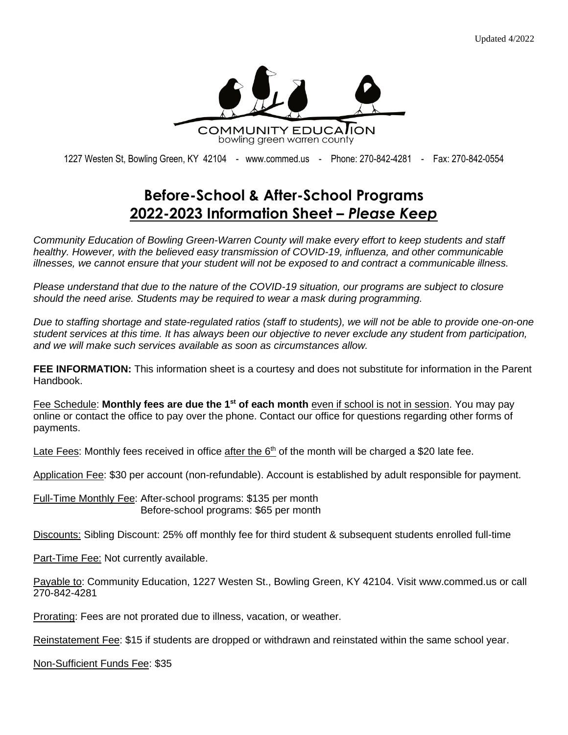

1227 Westen St, Bowling Green, KY 42104 - [www.commed.us](http://www.commed.us/) - Phone: 270-842-4281 - Fax: 270-842-0554

## **Before-School & After-School Programs 2022-2023 Information Sheet –** *Please Keep*

*Community Education of Bowling Green-Warren County will make every effort to keep students and staff healthy. However, with the believed easy transmission of COVID-19, influenza, and other communicable illnesses, we cannot ensure that your student will not be exposed to and contract a communicable illness.*

*Please understand that due to the nature of the COVID-19 situation, our programs are subject to closure should the need arise. Students may be required to wear a mask during programming.*

*Due to staffing shortage and state-regulated ratios (staff to students), we will not be able to provide one-on-one student services at this time. It has always been our objective to never exclude any student from participation, and we will make such services available as soon as circumstances allow.*

**FEE INFORMATION:** This information sheet is a courtesy and does not substitute for information in the Parent Handbook.

Fee Schedule: **Monthly fees are due the 1st of each month** even if school is not in session. You may pay online or contact the office to pay over the phone. Contact our office for questions regarding other forms of payments.

Late Fees: Monthly fees received in office after the  $6<sup>th</sup>$  of the month will be charged a \$20 late fee.

Application Fee: \$30 per account (non-refundable). Account is established by adult responsible for payment.

Full-Time Monthly Fee: After-school programs: \$135 per month Before-school programs: \$65 per month

Discounts: Sibling Discount: 25% off monthly fee for third student & subsequent students enrolled full-time

Part-Time Fee: Not currently available.

Payable to: Community Education, 1227 Westen St., Bowling Green, KY 42104. Visit www.commed.us or call 270-842-4281

Prorating: Fees are not prorated due to illness, vacation, or weather.

Reinstatement Fee: \$15 if students are dropped or withdrawn and reinstated within the same school year.

Non-Sufficient Funds Fee: \$35